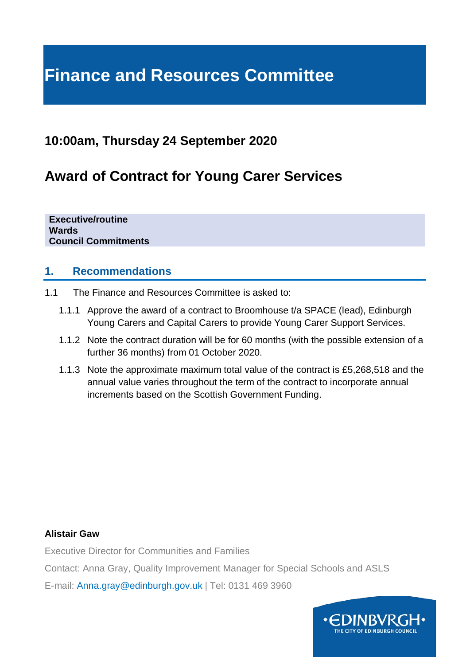# **Finance and Resources Committee**

# **10:00am, Thursday 24 September 2020**

# **Award of Contract for Young Carer Services**

**Executive/routine Wards Council Commitments**

#### **1. Recommendations**

- 1.1 The Finance and Resources Committee is asked to:
	- 1.1.1 Approve the award of a contract to Broomhouse t/a SPACE (lead), Edinburgh Young Carers and Capital Carers to provide Young Carer Support Services.
	- 1.1.2 Note the contract duration will be for 60 months (with the possible extension of a further 36 months) from 01 October 2020.
	- 1.1.3 Note the approximate maximum total value of the contract is £5,268,518 and the annual value varies throughout the term of the contract to incorporate annual increments based on the Scottish Government Funding.

#### **Alistair Gaw**

Executive Director for Communities and Families

Contact: Anna Gray, Quality Improvement Manager for Special Schools and ASLS

E-mail: Anna.gray@edinburgh.gov.uk | Tel: 0131 469 3960

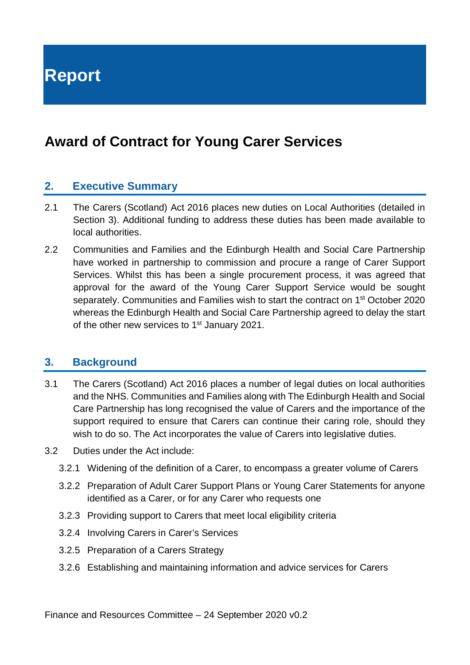**Report**

# **Award of Contract for Young Carer Services**

#### **2. Executive Summary**

- 2.1 The Carers (Scotland) Act 2016 places new duties on Local Authorities (detailed in Section 3). Additional funding to address these duties has been made available to local authorities.
- 2.2 Communities and Families and the Edinburgh Health and Social Care Partnership have worked in partnership to commission and procure a range of Carer Support Services. Whilst this has been a single procurement process, it was agreed that approval for the award of the Young Carer Support Service would be sought separately. Communities and Families wish to start the contract on 1<sup>st</sup> October 2020 whereas the Edinburgh Health and Social Care Partnership agreed to delay the start of the other new services to 1<sup>st</sup> January 2021.

#### **3. Background**

- 3.1 The Carers (Scotland) Act 2016 places a number of legal duties on local authorities and the NHS. Communities and Families along with The Edinburgh Health and Social Care Partnership has long recognised the value of Carers and the importance of the support required to ensure that Carers can continue their caring role, should they wish to do so. The Act incorporates the value of Carers into legislative duties.
- 3.2 Duties under the Act include:
	- 3.2.1 Widening of the definition of a Carer, to encompass a greater volume of Carers
	- 3.2.2 Preparation of Adult Carer Support Plans or Young Carer Statements for anyone identified as a Carer, or for any Carer who requests one
	- 3.2.3 Providing support to Carers that meet local eligibility criteria
	- 3.2.4 Involving Carers in Carer's Services
	- 3.2.5 Preparation of a Carers Strategy
	- 3.2.6 Establishing and maintaining information and advice services for Carers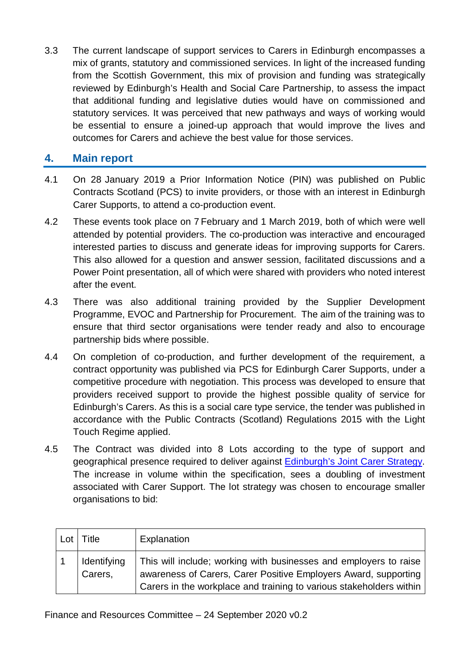3.3 The current landscape of support services to Carers in Edinburgh encompasses a mix of grants, statutory and commissioned services. In light of the increased funding from the Scottish Government, this mix of provision and funding was strategically reviewed by Edinburgh's Health and Social Care Partnership, to assess the impact that additional funding and legislative duties would have on commissioned and statutory services. It was perceived that new pathways and ways of working would be essential to ensure a joined-up approach that would improve the lives and outcomes for Carers and achieve the best value for those services.

#### **4. Main report**

- 4.1 On 28 January 2019 a Prior Information Notice (PIN) was published on Public Contracts Scotland (PCS) to invite providers, or those with an interest in Edinburgh Carer Supports, to attend a co-production event.
- 4.2 These events took place on 7 February and 1 March 2019, both of which were well attended by potential providers. The co-production was interactive and encouraged interested parties to discuss and generate ideas for improving supports for Carers. This also allowed for a question and answer session, facilitated discussions and a Power Point presentation, all of which were shared with providers who noted interest after the event.
- 4.3 There was also additional training provided by the Supplier Development Programme, EVOC and Partnership for Procurement. The aim of the training was to ensure that third sector organisations were tender ready and also to encourage partnership bids where possible.
- 4.4 On completion of co-production, and further development of the requirement, a contract opportunity was published via PCS for Edinburgh Carer Supports, under a competitive procedure with negotiation. This process was developed to ensure that providers received support to provide the highest possible quality of service for Edinburgh's Carers. As this is a social care type service, the tender was published in accordance with the Public Contracts (Scotland) Regulations 2015 with the Light Touch Regime applied.
- 4.5 The Contract was divided into 8 Lots according to the type of support and geographical presence required to deliver against [Edinburgh's Joint Carer Strategy.](https://www.edinburghhsc.scot/wp-content/uploads/2020/06/Edinburgh-Joint-Carers-Strategy-2019-2022-FINAL.pdf) The increase in volume within the specification, sees a doubling of investment associated with Carer Support. The lot strategy was chosen to encourage smaller organisations to bid:

| Lot | Title                  | Explanation                                                                                                                                                                                                 |
|-----|------------------------|-------------------------------------------------------------------------------------------------------------------------------------------------------------------------------------------------------------|
|     | Identifying<br>Carers, | This will include; working with businesses and employers to raise<br>awareness of Carers, Carer Positive Employers Award, supporting<br>Carers in the workplace and training to various stakeholders within |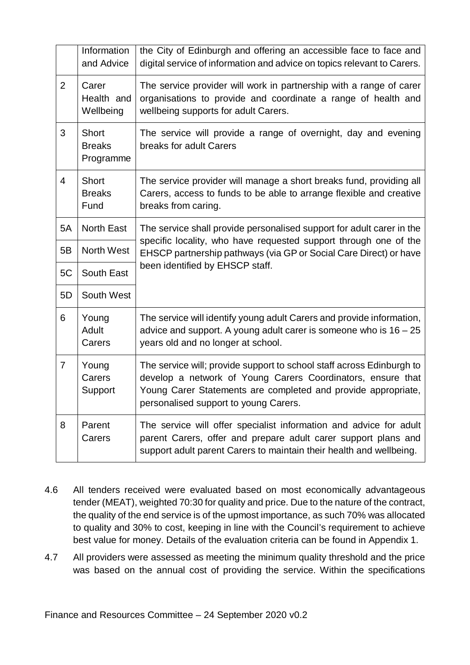|                | Information<br>and Advice                  | the City of Edinburgh and offering an accessible face to face and<br>digital service of information and advice on topics relevant to Carers.                                                                                                   |  |  |  |
|----------------|--------------------------------------------|------------------------------------------------------------------------------------------------------------------------------------------------------------------------------------------------------------------------------------------------|--|--|--|
| $\overline{2}$ | Carer<br>Health and<br>Wellbeing           | The service provider will work in partnership with a range of carer<br>organisations to provide and coordinate a range of health and<br>wellbeing supports for adult Carers.                                                                   |  |  |  |
| 3              | <b>Short</b><br><b>Breaks</b><br>Programme | The service will provide a range of overnight, day and evening<br>breaks for adult Carers                                                                                                                                                      |  |  |  |
| $\overline{4}$ | <b>Short</b><br><b>Breaks</b><br>Fund      | The service provider will manage a short breaks fund, providing all<br>Carers, access to funds to be able to arrange flexible and creative<br>breaks from caring.                                                                              |  |  |  |
| 5A             | <b>North East</b>                          | The service shall provide personalised support for adult carer in the<br>specific locality, who have requested support through one of the<br>EHSCP partnership pathways (via GP or Social Care Direct) or have                                 |  |  |  |
| 5B             | <b>North West</b>                          |                                                                                                                                                                                                                                                |  |  |  |
| 5C             | South East                                 | been identified by EHSCP staff.                                                                                                                                                                                                                |  |  |  |
| 5D             | South West                                 |                                                                                                                                                                                                                                                |  |  |  |
| 6              | Young<br>Adult<br>Carers                   | The service will identify young adult Carers and provide information,<br>advice and support. A young adult carer is someone who is $16 - 25$<br>years old and no longer at school.                                                             |  |  |  |
| $\overline{7}$ | Young<br>Carers<br>Support                 | The service will; provide support to school staff across Edinburgh to<br>develop a network of Young Carers Coordinators, ensure that<br>Young Carer Statements are completed and provide appropriate,<br>personalised support to young Carers. |  |  |  |
| 8              | Parent<br>Carers                           | The service will offer specialist information and advice for adult<br>parent Carers, offer and prepare adult carer support plans and<br>support adult parent Carers to maintain their health and wellbeing.                                    |  |  |  |

- 4.6 All tenders received were evaluated based on most economically advantageous tender (MEAT), weighted 70:30 for quality and price. Due to the nature of the contract, the quality of the end service is of the upmost importance, as such 70% was allocated to quality and 30% to cost, keeping in line with the Council's requirement to achieve best value for money. Details of the evaluation criteria can be found in Appendix 1.
- 4.7 All providers were assessed as meeting the minimum quality threshold and the price was based on the annual cost of providing the service. Within the specifications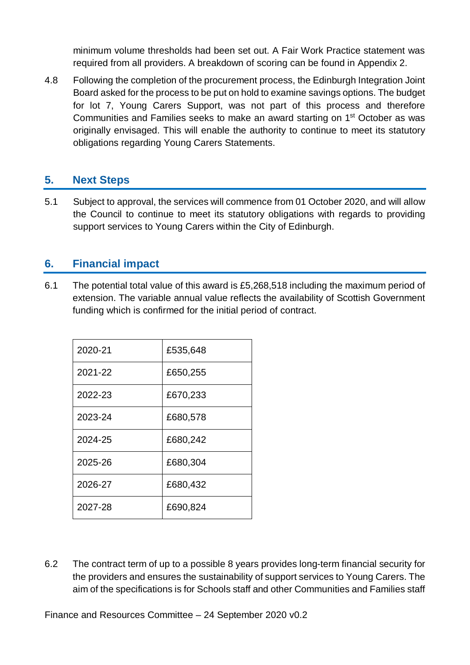minimum volume thresholds had been set out. A Fair Work Practice statement was required from all providers. A breakdown of scoring can be found in Appendix 2.

4.8 Following the completion of the procurement process, the Edinburgh Integration Joint Board asked for the process to be put on hold to examine savings options. The budget for lot 7, Young Carers Support, was not part of this process and therefore Communities and Families seeks to make an award starting on 1st October as was originally envisaged. This will enable the authority to continue to meet its statutory obligations regarding Young Carers Statements.

#### **5. Next Steps**

5.1 Subject to approval, the services will commence from 01 October 2020, and will allow the Council to continue to meet its statutory obligations with regards to providing support services to Young Carers within the City of Edinburgh.

#### **6. Financial impact**

6.1 The potential total value of this award is £5,268,518 including the maximum period of extension. The variable annual value reflects the availability of Scottish Government funding which is confirmed for the initial period of contract.

| 2020-21 | £535,648 |
|---------|----------|
| 2021-22 | £650,255 |
| 2022-23 | £670,233 |
| 2023-24 | £680,578 |
| 2024-25 | £680,242 |
| 2025-26 | £680,304 |
| 2026-27 | £680,432 |
| 2027-28 | £690,824 |

6.2 The contract term of up to a possible 8 years provides long-term financial security for the providers and ensures the sustainability of support services to Young Carers. The aim of the specifications is for Schools staff and other Communities and Families staff

Finance and Resources Committee – 24 September 2020 v0.2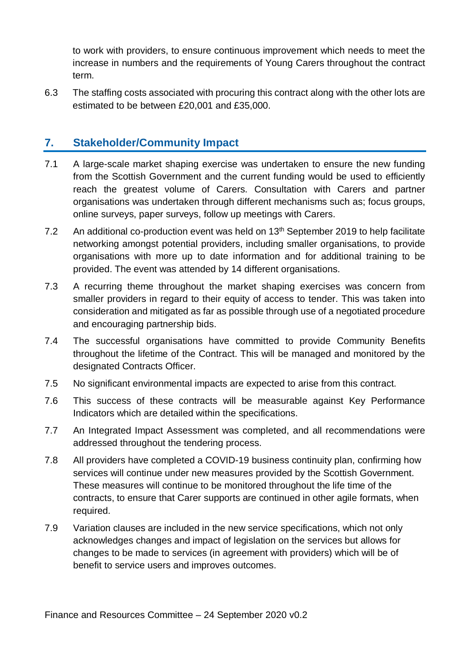to work with providers, to ensure continuous improvement which needs to meet the increase in numbers and the requirements of Young Carers throughout the contract term.

6.3 The staffing costs associated with procuring this contract along with the other lots are estimated to be between £20,001 and £35,000.

#### **7. Stakeholder/Community Impact**

- 7.1 A large-scale market shaping exercise was undertaken to ensure the new funding from the Scottish Government and the current funding would be used to efficiently reach the greatest volume of Carers. Consultation with Carers and partner organisations was undertaken through different mechanisms such as; focus groups, online surveys, paper surveys, follow up meetings with Carers.
- 7.2 An additional co-production event was held on 13<sup>th</sup> September 2019 to help facilitate networking amongst potential providers, including smaller organisations, to provide organisations with more up to date information and for additional training to be provided. The event was attended by 14 different organisations.
- 7.3 A recurring theme throughout the market shaping exercises was concern from smaller providers in regard to their equity of access to tender. This was taken into consideration and mitigated as far as possible through use of a negotiated procedure and encouraging partnership bids.
- 7.4 The successful organisations have committed to provide Community Benefits throughout the lifetime of the Contract. This will be managed and monitored by the designated Contracts Officer.
- 7.5 No significant environmental impacts are expected to arise from this contract.
- 7.6 This success of these contracts will be measurable against Key Performance Indicators which are detailed within the specifications.
- 7.7 An Integrated Impact Assessment was completed, and all recommendations were addressed throughout the tendering process.
- 7.8 All providers have completed a COVID-19 business continuity plan, confirming how services will continue under new measures provided by the Scottish Government. These measures will continue to be monitored throughout the life time of the contracts, to ensure that Carer supports are continued in other agile formats, when required.
- 7.9 Variation clauses are included in the new service specifications, which not only acknowledges changes and impact of legislation on the services but allows for changes to be made to services (in agreement with providers) which will be of benefit to service users and improves outcomes.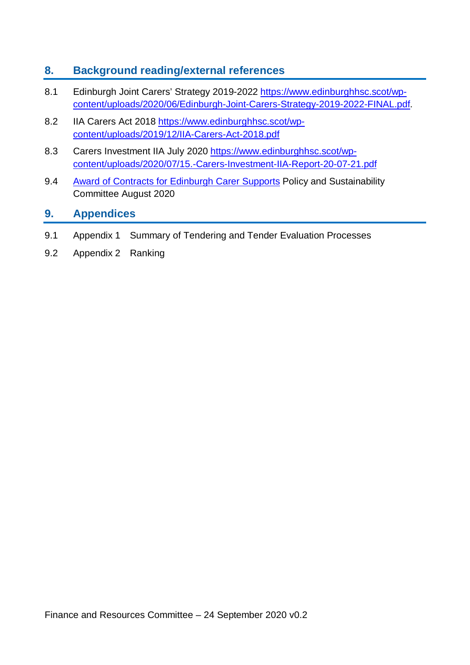## **8. Background reading/external references**

- 8.1 Edinburgh Joint Carers' Strategy 2019-2022 [https://www.edinburghhsc.scot/wp](https://www.edinburghhsc.scot/wp-content/uploads/2020/06/Edinburgh-Joint-Carers-Strategy-2019-2022-FINAL.pdf)[content/uploads/2020/06/Edinburgh-Joint-Carers-Strategy-2019-2022-FINAL.pdf.](https://www.edinburghhsc.scot/wp-content/uploads/2020/06/Edinburgh-Joint-Carers-Strategy-2019-2022-FINAL.pdf)
- 8.2 IIA Carers Act 2018 [https://www.edinburghhsc.scot/wp](https://www.edinburghhsc.scot/wp-content/uploads/2019/12/IIA-Carers-Act-2018.pdf)[content/uploads/2019/12/IIA-Carers-Act-2018.pdf](https://www.edinburghhsc.scot/wp-content/uploads/2019/12/IIA-Carers-Act-2018.pdf)
- 8.3 Carers Investment IIA July 2020 [https://www.edinburghhsc.scot/wp](https://www.edinburghhsc.scot/wp-content/uploads/2020/07/15.-Carers-Investment-IIA-Report-20-07-21.pdf)[content/uploads/2020/07/15.-Carers-Investment-IIA-Report-20-07-21.pdf](https://www.edinburghhsc.scot/wp-content/uploads/2020/07/15.-Carers-Investment-IIA-Report-20-07-21.pdf)
- 9.4 [Award of Contracts for Edinburgh Carer Supports](https://democracy.edinburgh.gov.uk/documents/s25311/Item%206.14%20-%20Award%20of%20Contracts%20for%20Edinburgh%20Carer%20Supports.pdf) Policy and Sustainability Committee August 2020

#### **9. Appendices**

- 9.1 Appendix 1 Summary of Tendering and Tender Evaluation Processes
- 9.2 Appendix 2 Ranking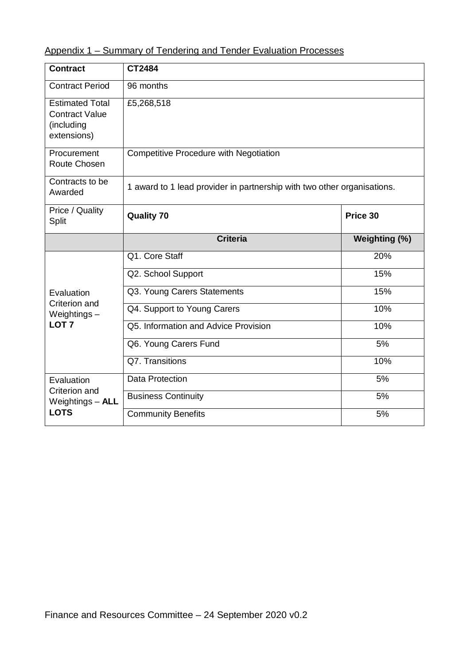| <b>Contract</b>                                                              | CT2484                                 |                                                                         |  |  |  |
|------------------------------------------------------------------------------|----------------------------------------|-------------------------------------------------------------------------|--|--|--|
| 96 months<br><b>Contract Period</b>                                          |                                        |                                                                         |  |  |  |
| <b>Estimated Total</b><br><b>Contract Value</b><br>(including<br>extensions) | £5,268,518                             |                                                                         |  |  |  |
| Procurement<br>Route Chosen                                                  | Competitive Procedure with Negotiation |                                                                         |  |  |  |
| Contracts to be<br>Awarded                                                   |                                        | 1 award to 1 lead provider in partnership with two other organisations. |  |  |  |
| Price / Quality<br>Split                                                     | <b>Quality 70</b>                      | Price 30                                                                |  |  |  |
|                                                                              | <b>Criteria</b>                        | Weighting (%)                                                           |  |  |  |
|                                                                              | Q1. Core Staff                         | 20%                                                                     |  |  |  |
|                                                                              | Q2. School Support                     | 15%                                                                     |  |  |  |
| Evaluation                                                                   | Q3. Young Carers Statements            | 15%                                                                     |  |  |  |
| Criterion and<br>Weightings $-$                                              | Q4. Support to Young Carers            | 10%                                                                     |  |  |  |
| LOT <sub>7</sub>                                                             | Q5. Information and Advice Provision   | 10%                                                                     |  |  |  |
|                                                                              | Q6. Young Carers Fund                  | 5%                                                                      |  |  |  |
|                                                                              | Q7. Transitions                        | 10%                                                                     |  |  |  |
|                                                                              |                                        |                                                                         |  |  |  |
| Evaluation                                                                   | <b>Data Protection</b>                 | 5%                                                                      |  |  |  |
| Criterion and<br>Weightings - ALL                                            | <b>Business Continuity</b>             | 5%                                                                      |  |  |  |

## Appendix 1 – Summary of Tendering and Tender Evaluation Processes